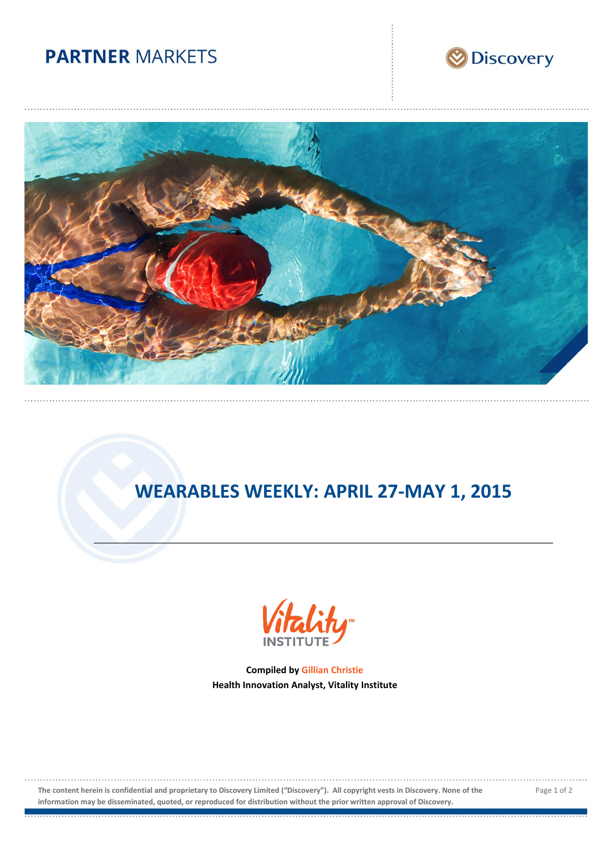# **PARTNER MARKETS**





# **WEARABLES WEEKLY: APRIL 27-MAY 1, 2015**



**Compiled by Gillian Christie Health Innovation Analyst, Vitality Institute**

**The content herein is confidential and proprietary to Discovery Limited ("Discovery"). All copyright vests in Discovery. None of the information may be disseminated, quoted, or reproduced for distribution without the prior written approval of Discovery.**

Page 1 of 2